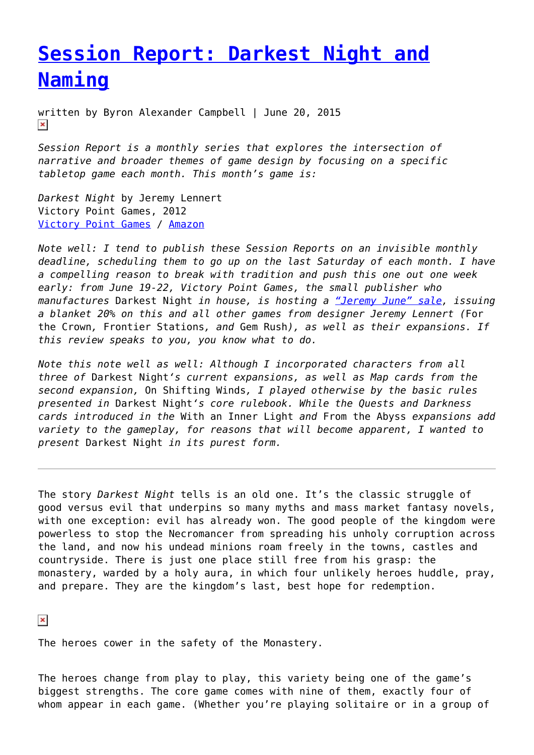## **[Session Report: Darkest Night and](https://entropymag.org/session-report-darkest-night-and-naming/) [Naming](https://entropymag.org/session-report-darkest-night-and-naming/)**

written by Byron Alexander Campbell | June 20, 2015  $\pmb{\times}$ 

*Session Report is a monthly series that explores the intersection of narrative and broader themes of game design by focusing on a specific tabletop game each month. This month's game is:*

*Darkest Night* by Jeremy Lennert Victory Point Games, 2012 [Victory Point Games](http://www.victorypointgames.com/darkest-night.html) / [Amazon](http://www.amazon.com/Darkest-Night-Co-op-Fantasy-Boxed/dp/B009VPY18M)

*Note well: I tend to publish these Session Reports on an invisible monthly deadline, scheduling them to go up on the last Saturday of each month. I have a compelling reason to break with tradition and push this one out one week early: from June 19-22, Victory Point Games, the small publisher who manufactures* Darkest Night *in house, is hosting a ["Jeremy June" sale,](http://www.victorypointgames.com/news/vpg-news/jeremy-june/) issuing a blanket 20% on this and all other games from designer Jeremy Lennert (*For the Crown*,* Frontier Stations*, and* Gem Rush*), as well as their expansions. If this review speaks to you, you know what to do.*

*Note this note well as well: Although I incorporated characters from all three of* Darkest Night*'s current expansions, as well as Map cards from the second expansion,* On Shifting Winds*, I played otherwise by the basic rules presented in* Darkest Night*'s core rulebook. While the Quests and Darkness cards introduced in the* With an Inner Light *and* From the Abyss *expansions add variety to the gameplay, for reasons that will become apparent, I wanted to present* Darkest Night *in its purest form.*

The story *Darkest Night* tells is an old one. It's the classic struggle of good versus evil that underpins so many myths and mass market fantasy novels, with one exception: evil has already won. The good people of the kingdom were powerless to stop the Necromancer from spreading his unholy corruption across the land, and now his undead minions roam freely in the towns, castles and countryside. There is just one place still free from his grasp: the monastery, warded by a holy aura, in which four unlikely heroes huddle, pray, and prepare. They are the kingdom's last, best hope for redemption.

 $\pmb{\times}$ 

The heroes cower in the safety of the Monastery.

The heroes change from play to play, this variety being one of the game's biggest strengths. The core game comes with nine of them, exactly four of whom appear in each game. (Whether you're playing solitaire or in a group of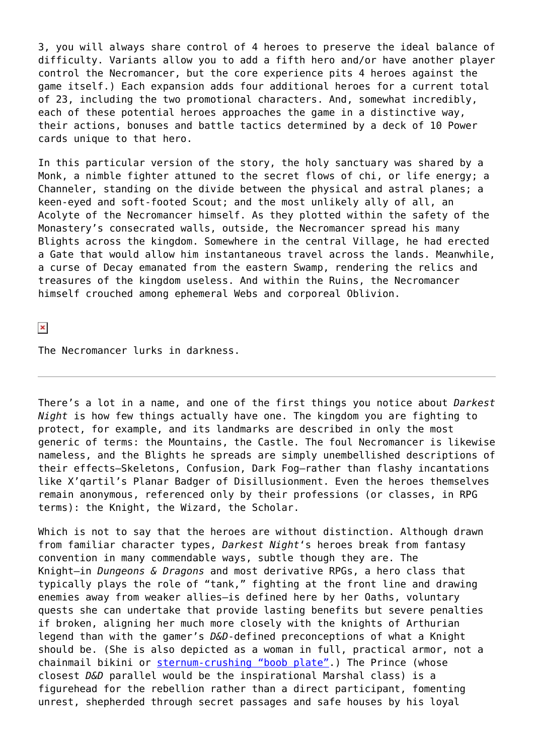3, you will always share control of 4 heroes to preserve the ideal balance of difficulty. Variants allow you to add a fifth hero and/or have another player control the Necromancer, but the core experience pits 4 heroes against the game itself.) Each expansion adds four additional heroes for a current total of 23, including the two promotional characters. And, somewhat incredibly, each of these potential heroes approaches the game in a distinctive way, their actions, bonuses and battle tactics determined by a deck of 10 Power cards unique to that hero.

In this particular version of the story, the holy sanctuary was shared by a Monk, a nimble fighter attuned to the secret flows of chi, or life energy; a Channeler, standing on the divide between the physical and astral planes; a keen-eyed and soft-footed Scout; and the most unlikely ally of all, an Acolyte of the Necromancer himself. As they plotted within the safety of the Monastery's consecrated walls, outside, the Necromancer spread his many Blights across the kingdom. Somewhere in the central Village, he had erected a Gate that would allow him instantaneous travel across the lands. Meanwhile, a curse of Decay emanated from the eastern Swamp, rendering the relics and treasures of the kingdom useless. And within the Ruins, the Necromancer himself crouched among ephemeral Webs and corporeal Oblivion.

 $\pmb{\times}$ 

The Necromancer lurks in darkness.

There's a lot in a name, and one of the first things you notice about *Darkest Night* is how few things actually have one. The kingdom you are fighting to protect, for example, and its landmarks are described in only the most generic of terms: the Mountains, the Castle. The foul Necromancer is likewise nameless, and the Blights he spreads are simply unembellished descriptions of their effects–Skeletons, Confusion, Dark Fog–rather than flashy incantations like X'qartil's Planar Badger of Disillusionment. Even the heroes themselves remain anonymous, referenced only by their professions (or classes, in RPG terms): the Knight, the Wizard, the Scholar.

Which is not to say that the heroes are without distinction. Although drawn from familiar character types, *Darkest Night*'s heroes break from fantasy convention in many commendable ways, subtle though they are. The Knight–in *Dungeons & Dragons* and most derivative RPGs, a hero class that typically plays the role of "tank," fighting at the front line and drawing enemies away from weaker allies–is defined here by her Oaths, voluntary quests she can undertake that provide lasting benefits but severe penalties if broken, aligning her much more closely with the knights of Arthurian legend than with the gamer's *D&D*-defined preconceptions of what a Knight should be. (She is also depicted as a woman in full, practical armor, not a chainmail bikini or [sternum-crushing "boob plate".](http://io9.com/what-kind-of-armor-did-medieval-women-really-wear-1502779338)) The Prince (whose closest *D&D* parallel would be the inspirational Marshal class) is a figurehead for the rebellion rather than a direct participant, fomenting unrest, shepherded through secret passages and safe houses by his loyal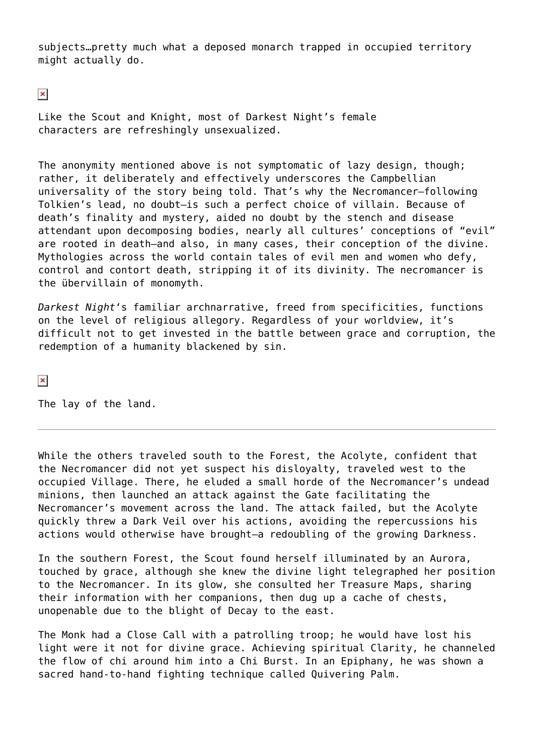subjects…pretty much what a deposed monarch trapped in occupied territory might actually do.

 $\pmb{\times}$ 

Like the Scout and Knight, most of Darkest Night's female characters are refreshingly unsexualized.

The anonymity mentioned above is not symptomatic of lazy design, though; rather, it deliberately and effectively underscores the Campbellian universality of the story being told. That's why the Necromancer–following Tolkien's lead, no doubt–is such a perfect choice of villain. Because of death's finality and mystery, aided no doubt by the stench and disease attendant upon decomposing bodies, nearly all cultures' conceptions of "evil" are rooted in death–and also, in many cases, their conception of the divine. Mythologies across the world contain tales of evil men and women who defy, control and contort death, stripping it of its divinity. The necromancer is the übervillain of monomyth.

*Darkest Night*'s familiar archnarrative, freed from specificities, functions on the level of religious allegory. Regardless of your worldview, it's difficult not to get invested in the battle between grace and corruption, the redemption of a humanity blackened by sin.

 $\pmb{\times}$ 

The lay of the land.

While the others traveled south to the Forest, the Acolyte, confident that the Necromancer did not yet suspect his disloyalty, traveled west to the occupied Village. There, he eluded a small horde of the Necromancer's undead minions, then launched an attack against the Gate facilitating the Necromancer's movement across the land. The attack failed, but the Acolyte quickly threw a Dark Veil over his actions, avoiding the repercussions his actions would otherwise have brought–a redoubling of the growing Darkness.

In the southern Forest, the Scout found herself illuminated by an Aurora, touched by grace, although she knew the divine light telegraphed her position to the Necromancer. In its glow, she consulted her Treasure Maps, sharing their information with her companions, then dug up a cache of chests, unopenable due to the blight of Decay to the east.

The Monk had a Close Call with a patrolling troop; he would have lost his light were it not for divine grace. Achieving spiritual Clarity, he channeled the flow of chi around him into a Chi Burst. In an Epiphany, he was shown a sacred hand-to-hand fighting technique called Quivering Palm.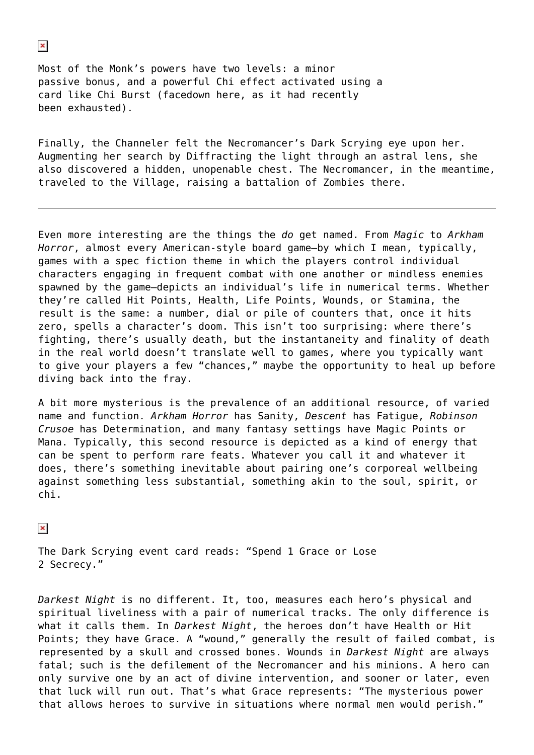Most of the Monk's powers have two levels: a minor passive bonus, and a powerful Chi effect activated using a card like Chi Burst (facedown here, as it had recently been exhausted).

Finally, the Channeler felt the Necromancer's Dark Scrying eye upon her. Augmenting her search by Diffracting the light through an astral lens, she also discovered a hidden, unopenable chest. The Necromancer, in the meantime, traveled to the Village, raising a battalion of Zombies there.

Even more interesting are the things the *do* get named. From *Magic* to *Arkham Horror*, almost every American-style board game–by which I mean, typically, games with a spec fiction theme in which the players control individual characters engaging in frequent combat with one another or mindless enemies spawned by the game–depicts an individual's life in numerical terms. Whether they're called Hit Points, Health, Life Points, Wounds, or Stamina, the result is the same: a number, dial or pile of counters that, once it hits zero, spells a character's doom. This isn't too surprising: where there's fighting, there's usually death, but the instantaneity and finality of death in the real world doesn't translate well to games, where you typically want to give your players a few "chances," maybe the opportunity to heal up before diving back into the fray.

A bit more mysterious is the prevalence of an additional resource, of varied name and function. *Arkham Horror* has Sanity, *Descent* has Fatigue, *Robinson Crusoe* has Determination, and many fantasy settings have Magic Points or Mana. Typically, this second resource is depicted as a kind of energy that can be spent to perform rare feats. Whatever you call it and whatever it does, there's something inevitable about pairing one's corporeal wellbeing against something less substantial, something akin to the soul, spirit, or chi.

## $\pmb{\times}$

The Dark Scrying event card reads: "Spend 1 Grace or Lose 2 Secrecy."

*Darkest Night* is no different. It, too, measures each hero's physical and spiritual liveliness with a pair of numerical tracks. The only difference is what it calls them. In *Darkest Night*, the heroes don't have Health or Hit Points; they have Grace. A "wound," generally the result of failed combat, is represented by a skull and crossed bones. Wounds in *Darkest Night* are always fatal; such is the defilement of the Necromancer and his minions. A hero can only survive one by an act of divine intervention, and sooner or later, even that luck will run out. That's what Grace represents: "The mysterious power that allows heroes to survive in situations where normal men would perish."

## $\pmb{\times}$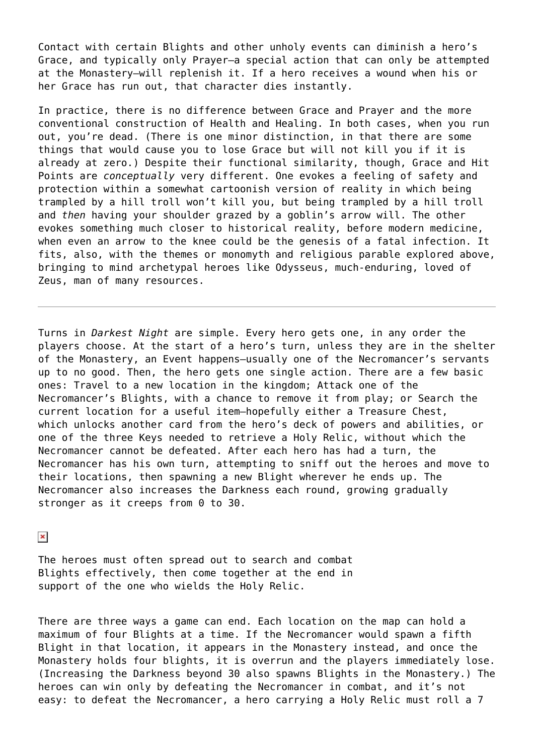Contact with certain Blights and other unholy events can diminish a hero's Grace, and typically only Prayer–a special action that can only be attempted at the Monastery–will replenish it. If a hero receives a wound when his or her Grace has run out, that character dies instantly.

In practice, there is no difference between Grace and Prayer and the more conventional construction of Health and Healing. In both cases, when you run out, you're dead. (There is one minor distinction, in that there are some things that would cause you to lose Grace but will not kill you if it is already at zero.) Despite their functional similarity, though, Grace and Hit Points are *conceptually* very different. One evokes a feeling of safety and protection within a somewhat cartoonish version of reality in which being trampled by a hill troll won't kill you, but being trampled by a hill troll and *then* having your shoulder grazed by a goblin's arrow will. The other evokes something much closer to historical reality, before modern medicine, when even an arrow to the knee could be the genesis of a fatal infection. It fits, also, with the themes or monomyth and religious parable explored above, bringing to mind archetypal heroes like Odysseus, much-enduring, loved of Zeus, man of many resources.

Turns in *Darkest Night* are simple. Every hero gets one, in any order the players choose. At the start of a hero's turn, unless they are in the shelter of the Monastery, an Event happens–usually one of the Necromancer's servants up to no good. Then, the hero gets one single action. There are a few basic ones: Travel to a new location in the kingdom; Attack one of the Necromancer's Blights, with a chance to remove it from play; or Search the current location for a useful item–hopefully either a Treasure Chest, which unlocks another card from the hero's deck of powers and abilities, or one of the three Keys needed to retrieve a Holy Relic, without which the Necromancer cannot be defeated. After each hero has had a turn, the Necromancer has his own turn, attempting to sniff out the heroes and move to their locations, then spawning a new Blight wherever he ends up. The Necromancer also increases the Darkness each round, growing gradually stronger as it creeps from 0 to 30.

## $\pmb{\times}$

The heroes must often spread out to search and combat Blights effectively, then come together at the end in support of the one who wields the Holy Relic.

There are three ways a game can end. Each location on the map can hold a maximum of four Blights at a time. If the Necromancer would spawn a fifth Blight in that location, it appears in the Monastery instead, and once the Monastery holds four blights, it is overrun and the players immediately lose. (Increasing the Darkness beyond 30 also spawns Blights in the Monastery.) The heroes can win only by defeating the Necromancer in combat, and it's not easy: to defeat the Necromancer, a hero carrying a Holy Relic must roll a 7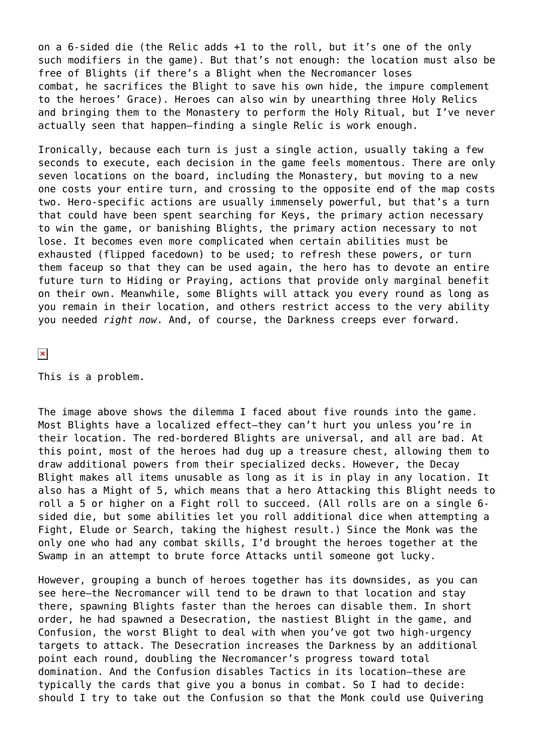on a 6-sided die (the Relic adds +1 to the roll, but it's one of the only such modifiers in the game). But that's not enough: the location must also be free of Blights (if there's a Blight when the Necromancer loses combat, he sacrifices the Blight to save his own hide, the impure complement to the heroes' Grace). Heroes can also win by unearthing three Holy Relics and bringing them to the Monastery to perform the Holy Ritual, but I've never actually seen that happen–finding a single Relic is work enough.

Ironically, because each turn is just a single action, usually taking a few seconds to execute, each decision in the game feels momentous. There are only seven locations on the board, including the Monastery, but moving to a new one costs your entire turn, and crossing to the opposite end of the map costs two. Hero-specific actions are usually immensely powerful, but that's a turn that could have been spent searching for Keys, the primary action necessary to win the game, or banishing Blights, the primary action necessary to not lose. It becomes even more complicated when certain abilities must be exhausted (flipped facedown) to be used; to refresh these powers, or turn them faceup so that they can be used again, the hero has to devote an entire future turn to Hiding or Praying, actions that provide only marginal benefit on their own. Meanwhile, some Blights will attack you every round as long as you remain in their location, and others restrict access to the very ability you needed *right now*. And, of course, the Darkness creeps ever forward.

 $\pmb{\times}$ 

This is a problem.

The image above shows the dilemma I faced about five rounds into the game. Most Blights have a localized effect–they can't hurt you unless you're in their location. The red-bordered Blights are universal, and all are bad. At this point, most of the heroes had dug up a treasure chest, allowing them to draw additional powers from their specialized decks. However, the Decay Blight makes all items unusable as long as it is in play in any location. It also has a Might of 5, which means that a hero Attacking this Blight needs to roll a 5 or higher on a Fight roll to succeed. (All rolls are on a single 6 sided die, but some abilities let you roll additional dice when attempting a Fight, Elude or Search, taking the highest result.) Since the Monk was the only one who had any combat skills, I'd brought the heroes together at the Swamp in an attempt to brute force Attacks until someone got lucky.

However, grouping a bunch of heroes together has its downsides, as you can see here–the Necromancer will tend to be drawn to that location and stay there, spawning Blights faster than the heroes can disable them. In short order, he had spawned a Desecration, the nastiest Blight in the game, and Confusion, the worst Blight to deal with when you've got two high-urgency targets to attack. The Desecration increases the Darkness by an additional point each round, doubling the Necromancer's progress toward total domination. And the Confusion disables Tactics in its location–these are typically the cards that give you a bonus in combat. So I had to decide: should I try to take out the Confusion so that the Monk could use Quivering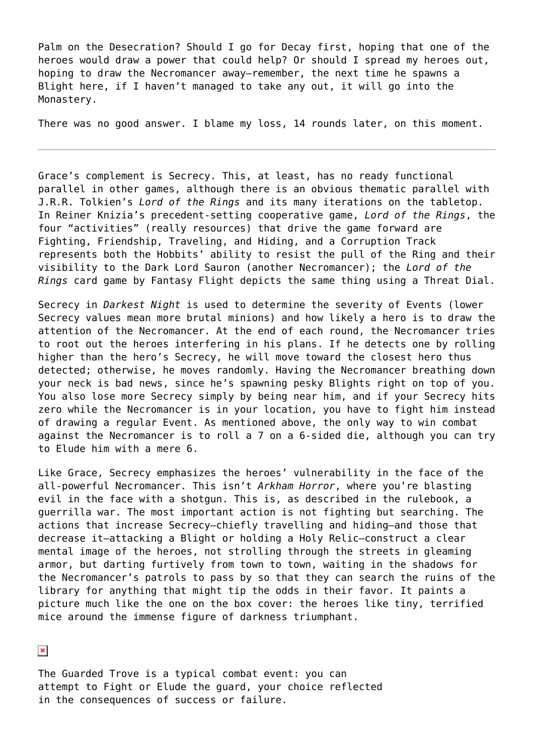Palm on the Desecration? Should I go for Decay first, hoping that one of the heroes would draw a power that could help? Or should I spread my heroes out, hoping to draw the Necromancer away–remember, the next time he spawns a Blight here, if I haven't managed to take any out, it will go into the Monastery.

There was no good answer. I blame my loss, 14 rounds later, on this moment.

Grace's complement is Secrecy. This, at least, has no ready functional parallel in other games, although there is an obvious thematic parallel with J.R.R. Tolkien's *Lord of the Rings* and its many iterations on the tabletop. In Reiner Knizia's precedent-setting cooperative game, *Lord of the Rings*, the four "activities" (really resources) that drive the game forward are Fighting, Friendship, Traveling, and Hiding, and a Corruption Track represents both the Hobbits' ability to resist the pull of the Ring and their visibility to the Dark Lord Sauron (another Necromancer); the *Lord of the Rings* card game by Fantasy Flight depicts the same thing using a Threat Dial.

Secrecy in *Darkest Night* is used to determine the severity of Events (lower Secrecy values mean more brutal minions) and how likely a hero is to draw the attention of the Necromancer. At the end of each round, the Necromancer tries to root out the heroes interfering in his plans. If he detects one by rolling higher than the hero's Secrecy, he will move toward the closest hero thus detected; otherwise, he moves randomly. Having the Necromancer breathing down your neck is bad news, since he's spawning pesky Blights right on top of you. You also lose more Secrecy simply by being near him, and if your Secrecy hits zero while the Necromancer is in your location, you have to fight him instead of drawing a regular Event. As mentioned above, the only way to win combat against the Necromancer is to roll a 7 on a 6-sided die, although you can try to Elude him with a mere 6.

Like Grace, Secrecy emphasizes the heroes' vulnerability in the face of the all-powerful Necromancer. This isn't *Arkham Horror*, where you're blasting evil in the face with a shotgun. This is, as described in the rulebook, a guerrilla war. The most important action is not fighting but searching. The actions that increase Secrecy–chiefly travelling and hiding–and those that decrease it–attacking a Blight or holding a Holy Relic–construct a clear mental image of the heroes, not strolling through the streets in gleaming armor, but darting furtively from town to town, waiting in the shadows for the Necromancer's patrols to pass by so that they can search the ruins of the library for anything that might tip the odds in their favor. It paints a picture much like the one on the box cover: the heroes like tiny, terrified mice around the immense figure of darkness triumphant.

 $\pmb{\times}$ 

The Guarded Trove is a typical combat event: you can attempt to Fight or Elude the guard, your choice reflected in the consequences of success or failure.